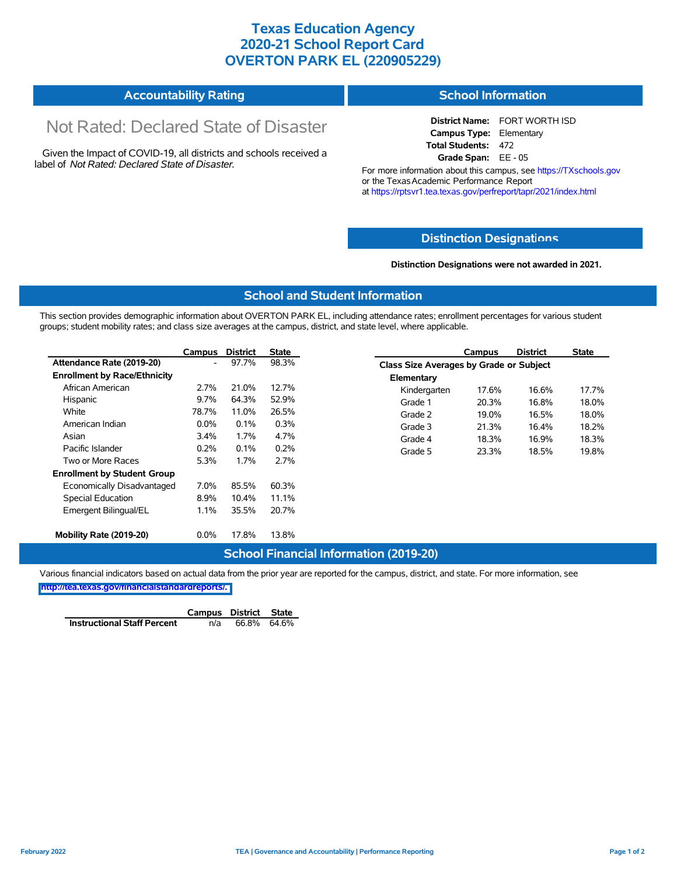## **Texas Education Agency 2020-21 School Report Card OVERTON PARK EL (220905229)**

| <b>Accountability Rating</b> | <b>School Information</b> |
|------------------------------|---------------------------|
|------------------------------|---------------------------|

# Not Rated: Declared State of Disaster

Given the Impact of COVID-19, all districts and schools received a label of *Not Rated: Declared State of Disaster.*

**District Name:** FORT WORTH ISD **Campus Type:** Elementary **Total Students:** 472 **Grade Span:** EE - 05

For more information about this campus, see https://TXschools.gov or the Texas Academic Performance Report at https://rptsvr1.tea.texas.gov/perfreport/tapr/2021/index.html

#### **Distinction Designat[ions](https://TXschools.gov)**

**Distinction Designations were not awarded in 2021.**

#### **School and Student Information**

This section provides demographic information about OVERTON PARK EL, including attendance rates; enrollment percentages for various student groups; student mobility rates; and class size averages at the campus, district, and state level, where applicable.

|                                          | Campus                   | <b>District</b> | <b>State</b> |              | Campus                                  | <b>District</b> | <b>State</b> |  |  |
|------------------------------------------|--------------------------|-----------------|--------------|--------------|-----------------------------------------|-----------------|--------------|--|--|
| Attendance Rate (2019-20)                | $\overline{\phantom{a}}$ | 97.7%           | 98.3%        |              | Class Size Averages by Grade or Subject |                 |              |  |  |
| <b>Enrollment by Race/Ethnicity</b>      |                          |                 |              | Elementary   |                                         |                 |              |  |  |
| African American                         | $2.7\%$                  | 21.0%           | 12.7%        | Kindergarten | 17.6%                                   | 16.6%           | 17.7%        |  |  |
| Hispanic                                 | 9.7%                     | 64.3%           | 52.9%        | Grade 1      | 20.3%                                   | 16.8%           | 18.0%        |  |  |
| White                                    | 78.7%                    | 11.0%           | 26.5%        | Grade 2      | 19.0%                                   | 16.5%           | 18.0%        |  |  |
| American Indian                          | $0.0\%$                  | 0.1%            | 0.3%         | Grade 3      | 21.3%                                   | 16.4%           | 18.2%        |  |  |
| Asian                                    | $3.4\%$                  | 1.7%            | 4.7%         | Grade 4      | 18.3%                                   | 16.9%           | 18.3%        |  |  |
| Pacific Islander                         | 0.2%                     | 0.1%            | 0.2%         | Grade 5      | 23.3%                                   | 18.5%           | 19.8%        |  |  |
| Two or More Races                        | 5.3%                     | 1.7%            | 2.7%         |              |                                         |                 |              |  |  |
| <b>Enrollment by Student Group</b>       |                          |                 |              |              |                                         |                 |              |  |  |
| Economically Disadvantaged               | 7.0%                     | 85.5%           | 60.3%        |              |                                         |                 |              |  |  |
| Special Education                        | 8.9%                     | 10.4%           | 11.1%        |              |                                         |                 |              |  |  |
| Emergent Bilingual/EL                    | 1.1%                     | 35.5%           | 20.7%        |              |                                         |                 |              |  |  |
|                                          |                          |                 |              |              |                                         |                 |              |  |  |
| Mobility Rate (2019-20)                  | $0.0\%$                  | 17.8%           | 13.8%        |              |                                         |                 |              |  |  |
| Calcoal Financial Information (3848, 38) |                          |                 |              |              |                                         |                 |              |  |  |

#### **School Financial Information (2019-20)**

Various financial indicators based on actual data from the prior year are reported for the campus, district, and state. For more information, see

**[http://tea.texas.gov/financialstandardreports/.](http://tea.texas.gov/financialstandardreports/)**

|                                    | Campus District State |             |  |
|------------------------------------|-----------------------|-------------|--|
| <b>Instructional Staff Percent</b> | n/a                   | 66.8% 64.6% |  |